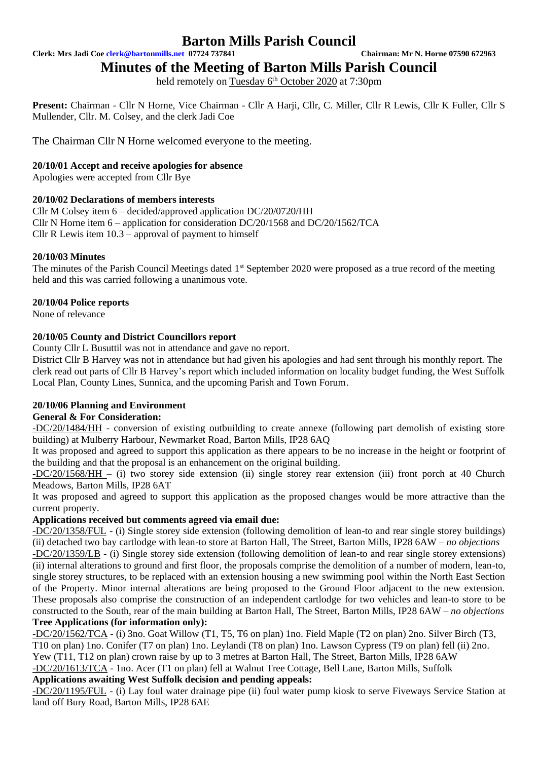**Clerk: Mrs Jadi Coe [clerk@bartonmills.net](mailto:clerk@bartonmills.net) 07724 737841 Chairman: Mr N. Horne 07590 672963**

**Minutes of the Meeting of Barton Mills Parish Council**

held remotely on Tuesday 6<sup>th</sup> October 2020 at 7:30pm

**Present:** Chairman - Cllr N Horne, Vice Chairman - Cllr A Harji, Cllr, C. Miller, Cllr R Lewis, Cllr K Fuller, Cllr S Mullender, Cllr. M. Colsey, and the clerk Jadi Coe

The Chairman Cllr N Horne welcomed everyone to the meeting.

#### **20/10/01 Accept and receive apologies for absence**

Apologies were accepted from Cllr Bye

#### **20/10/02 Declarations of members interests**

Cllr M Colsey item 6 – decided/approved application DC/20/0720/HH Cllr N Horne item 6 – application for consideration DC/20/1568 and DC/20/1562/TCA Cllr R Lewis item  $10.3$  – approval of payment to himself

#### **20/10/03 Minutes**

The minutes of the Parish Council Meetings dated 1<sup>st</sup> September 2020 were proposed as a true record of the meeting held and this was carried following a unanimous vote.

#### **20/10/04 Police reports**

None of relevance

#### **20/10/05 County and District Councillors report**

County Cllr L Busuttil was not in attendance and gave no report.

District Cllr B Harvey was not in attendance but had given his apologies and had sent through his monthly report. The clerk read out parts of Cllr B Harvey's report which included information on locality budget funding, the West Suffolk Local Plan, County Lines, Sunnica, and the upcoming Parish and Town Forum.

#### **20/10/06 Planning and Environment**

#### **General & For Consideration:**

-DC/20/1484/HH - conversion of existing outbuilding to create annexe (following part demolish of existing store building) at Mulberry Harbour, Newmarket Road, Barton Mills, IP28 6AQ

It was proposed and agreed to support this application as there appears to be no increase in the height or footprint of the building and that the proposal is an enhancement on the original building.

-DC/20/1568/HH – (i) two storey side extension (ii) single storey rear extension (iii) front porch at 40 Church Meadows, Barton Mills, IP28 6AT

It was proposed and agreed to support this application as the proposed changes would be more attractive than the current property.

#### **Applications received but comments agreed via email due:**

-DC/20/1358/FUL - (i) Single storey side extension (following demolition of lean-to and rear single storey buildings) (ii) detached two bay cartlodge with lean-to store at Barton Hall, The Street, Barton Mills, IP28 6AW *– no objections* -DC/20/1359/LB - (i) Single storey side extension (following demolition of lean-to and rear single storey extensions) (ii) internal alterations to ground and first floor, the proposals comprise the demolition of a number of modern, lean-to, single storey structures, to be replaced with an extension housing a new swimming pool within the North East Section of the Property. Minor internal alterations are being proposed to the Ground Floor adjacent to the new extension. These proposals also comprise the construction of an independent cartlodge for two vehicles and lean-to store to be constructed to the South, rear of the main building at Barton Hall, The Street, Barton Mills, IP28 6AW *– no objections* **Tree Applications (for information only):**

-DC/20/1562/TCA - (i) 3no. Goat Willow (T1, T5, T6 on plan) 1no. Field Maple (T2 on plan) 2no. Silver Birch (T3, T10 on plan) 1no. Conifer (T7 on plan) 1no. Leylandi (T8 on plan) 1no. Lawson Cypress (T9 on plan) fell (ii) 2no. Yew (T11, T12 on plan) crown raise by up to 3 metres at Barton Hall, The Street, Barton Mills, IP28 6AW -DC/20/1613/TCA - 1no. Acer (T1 on plan) fell at Walnut Tree Cottage, Bell Lane, Barton Mills, Suffolk

#### **Applications awaiting West Suffolk decision and pending appeals:**

-DC/20/1195/FUL - (i) Lay foul water drainage pipe (ii) foul water pump kiosk to serve Fiveways Service Station at land off Bury Road, Barton Mills, IP28 6AE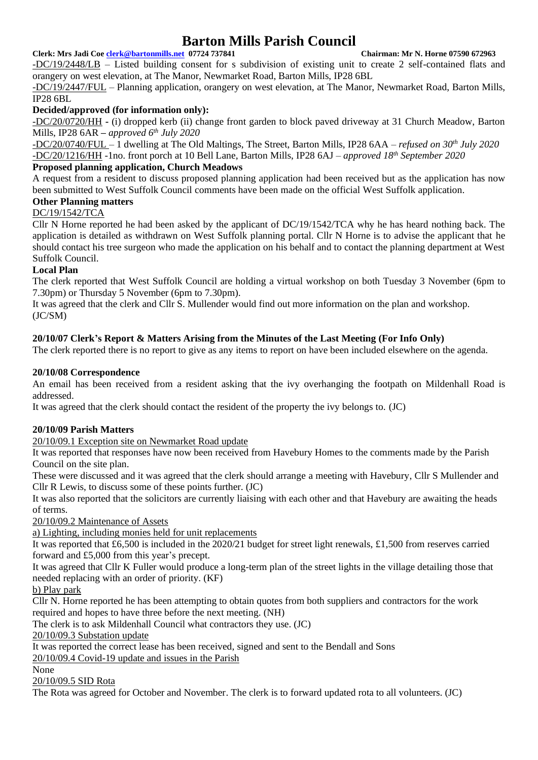#### **Clerk: Mrs Jadi Coe [clerk@bartonmills.net](mailto:clerk@bartonmills.net) 07724 737841 Chairman: Mr N. Horne 07590 672963**

-DC/19/2448/LB – Listed building consent for s subdivision of existing unit to create 2 self-contained flats and orangery on west elevation, at The Manor, Newmarket Road, Barton Mills, IP28 6BL

-DC/19/2447/FUL – Planning application, orangery on west elevation, at The Manor, Newmarket Road, Barton Mills, IP28 6BL

#### **Decided/approved (for information only):**

-DC/20/0720/HH **-** (i) dropped kerb (ii) change front garden to block paved driveway at 31 Church Meadow, Barton Mills, IP28 6AR *– approved 6th July 2020*

-DC/20/0740/FUL – 1 dwelling at The Old Maltings, The Street, Barton Mills, IP28 6AA – *refused on 30th July 2020* -DC/20/1216/HH -1no. front porch at 10 Bell Lane, Barton Mills, IP28 6AJ – *approved 18th September 2020*

#### **Proposed planning application, Church Meadows**

A request from a resident to discuss proposed planning application had been received but as the application has now been submitted to West Suffolk Council comments have been made on the official West Suffolk application.

### **Other Planning matters**

#### DC/19/1542/TCA

Cllr N Horne reported he had been asked by the applicant of DC/19/1542/TCA why he has heard nothing back. The application is detailed as withdrawn on West Suffolk planning portal. Cllr N Horne is to advise the applicant that he should contact his tree surgeon who made the application on his behalf and to contact the planning department at West Suffolk Council.

#### **Local Plan**

The clerk reported that West Suffolk Council are holding a virtual workshop on both Tuesday 3 November (6pm to 7.30pm) or Thursday 5 November (6pm to 7.30pm).

It was agreed that the clerk and Cllr S. Mullender would find out more information on the plan and workshop.  $(JC/SM)$ 

#### **20/10/07 Clerk's Report & Matters Arising from the Minutes of the Last Meeting (For Info Only)**

The clerk reported there is no report to give as any items to report on have been included elsewhere on the agenda.

#### **20/10/08 Correspondence**

An email has been received from a resident asking that the ivy overhanging the footpath on Mildenhall Road is addressed.

It was agreed that the clerk should contact the resident of the property the ivy belongs to. (JC)

#### **20/10/09 Parish Matters**

20/10/09.1 Exception site on Newmarket Road update

It was reported that responses have now been received from Havebury Homes to the comments made by the Parish Council on the site plan.

These were discussed and it was agreed that the clerk should arrange a meeting with Havebury, Cllr S Mullender and Cllr R Lewis, to discuss some of these points further. (JC)

It was also reported that the solicitors are currently liaising with each other and that Havebury are awaiting the heads of terms.

20/10/09.2 Maintenance of Assets

a) Lighting, including monies held for unit replacements

It was reported that £6,500 is included in the 2020/21 budget for street light renewals, £1,500 from reserves carried forward and £5,000 from this year's precept.

It was agreed that Cllr K Fuller would produce a long-term plan of the street lights in the village detailing those that needed replacing with an order of priority. (KF)

b) Play park

Cllr N. Horne reported he has been attempting to obtain quotes from both suppliers and contractors for the work required and hopes to have three before the next meeting. (NH)

The clerk is to ask Mildenhall Council what contractors they use. (JC)

20/10/09.3 Substation update

It was reported the correct lease has been received, signed and sent to the Bendall and Sons

20/10/09.4 Covid-19 update and issues in the Parish

#### None

20/10/09.5 SID Rota

The Rota was agreed for October and November. The clerk is to forward updated rota to all volunteers. (JC)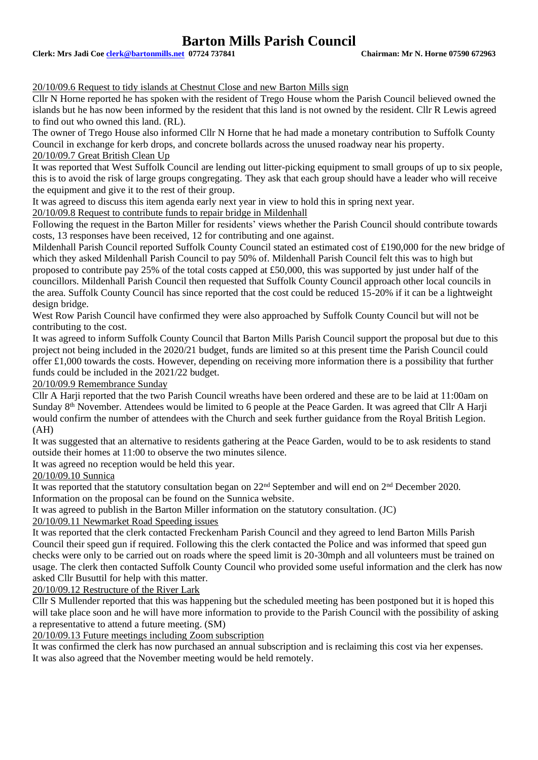**Clerk: Mrs Jadi Coe [clerk@bartonmills.net](mailto:clerk@bartonmills.net) 07724 737841 Chairman: Mr N. Horne 07590 672963**

#### 20/10/09.6 Request to tidy islands at Chestnut Close and new Barton Mills sign

Cllr N Horne reported he has spoken with the resident of Trego House whom the Parish Council believed owned the islands but he has now been informed by the resident that this land is not owned by the resident. Cllr R Lewis agreed to find out who owned this land. (RL).

The owner of Trego House also informed Cllr N Horne that he had made a monetary contribution to Suffolk County Council in exchange for kerb drops, and concrete bollards across the unused roadway near his property. 20/10/09.7 Great British Clean Up

It was reported that West Suffolk Council are lending out litter-picking equipment to small groups of up to six people, this is to avoid the risk of large groups congregating. They ask that each group should have a leader who will receive the equipment and give it to the rest of their group.

It was agreed to discuss this item agenda early next year in view to hold this in spring next year.

20/10/09.8 Request to contribute funds to repair bridge in Mildenhall

Following the request in the Barton Miller for residents' views whether the Parish Council should contribute towards costs, 13 responses have been received, 12 for contributing and one against.

Mildenhall Parish Council reported Suffolk County Council stated an estimated cost of £190,000 for the new bridge of which they asked Mildenhall Parish Council to pay 50% of. Mildenhall Parish Council felt this was to high but proposed to contribute pay 25% of the total costs capped at £50,000, this was supported by just under half of the councillors. Mildenhall Parish Council then requested that Suffolk County Council approach other local councils in the area. Suffolk County Council has since reported that the cost could be reduced 15-20% if it can be a lightweight design bridge.

West Row Parish Council have confirmed they were also approached by Suffolk County Council but will not be contributing to the cost.

It was agreed to inform Suffolk County Council that Barton Mills Parish Council support the proposal but due to this project not being included in the 2020/21 budget, funds are limited so at this present time the Parish Council could offer £1,000 towards the costs. However, depending on receiving more information there is a possibility that further funds could be included in the 2021/22 budget.

20/10/09.9 Remembrance Sunday

Cllr A Harii reported that the two Parish Council wreaths have been ordered and these are to be laid at 11:00am on Sunday 8<sup>th</sup> November. Attendees would be limited to 6 people at the Peace Garden. It was agreed that Cllr A Harji would confirm the number of attendees with the Church and seek further guidance from the Royal British Legion. (AH)

It was suggested that an alternative to residents gathering at the Peace Garden, would to be to ask residents to stand outside their homes at 11:00 to observe the two minutes silence.

It was agreed no reception would be held this year.

20/10/09.10 Sunnica

It was reported that the statutory consultation began on  $22<sup>nd</sup>$  September and will end on  $2<sup>nd</sup>$  December 2020. Information on the proposal can be found on the Sunnica website.

It was agreed to publish in the Barton Miller information on the statutory consultation. (JC)

#### 20/10/09.11 Newmarket Road Speeding issues

It was reported that the clerk contacted Freckenham Parish Council and they agreed to lend Barton Mills Parish Council their speed gun if required. Following this the clerk contacted the Police and was informed that speed gun checks were only to be carried out on roads where the speed limit is 20-30mph and all volunteers must be trained on usage. The clerk then contacted Suffolk County Council who provided some useful information and the clerk has now asked Cllr Busuttil for help with this matter.

20/10/09.12 Restructure of the River Lark

Cllr S Mullender reported that this was happening but the scheduled meeting has been postponed but it is hoped this will take place soon and he will have more information to provide to the Parish Council with the possibility of asking a representative to attend a future meeting. (SM)

20/10/09.13 Future meetings including Zoom subscription

It was confirmed the clerk has now purchased an annual subscription and is reclaiming this cost via her expenses. It was also agreed that the November meeting would be held remotely.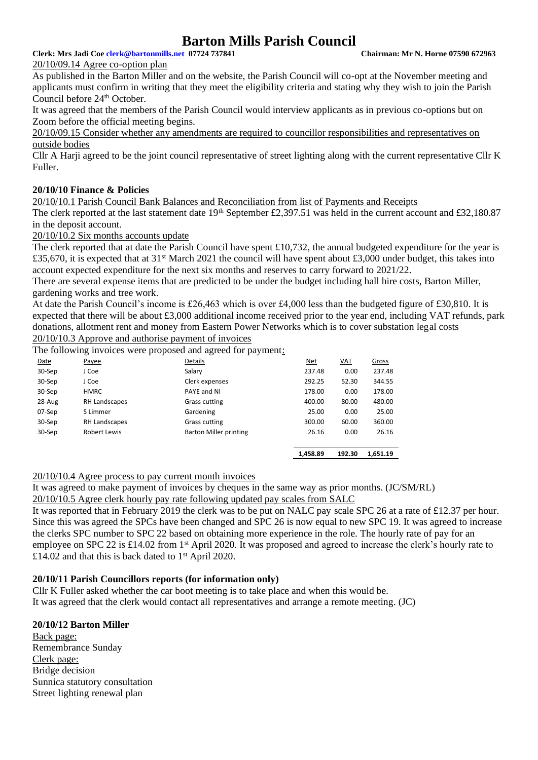#### **Clerk: Mrs Jadi Coe [clerk@bartonmills.net](mailto:clerk@bartonmills.net) 07724 737841 Chairman: Mr N. Horne 07590 672963**

20/10/09.14 Agree co-option plan

As published in the Barton Miller and on the website, the Parish Council will co-opt at the November meeting and applicants must confirm in writing that they meet the eligibility criteria and stating why they wish to join the Parish Council before 24<sup>th</sup> October.

It was agreed that the members of the Parish Council would interview applicants as in previous co-options but on Zoom before the official meeting begins.

20/10/09.15 Consider whether any amendments are required to councillor responsibilities and representatives on outside bodies

Cllr A Harji agreed to be the joint council representative of street lighting along with the current representative Cllr K Fuller.

#### **20/10/10 Finance & Policies**

20/10/10.1 Parish Council Bank Balances and Reconciliation from list of Payments and Receipts

The clerk reported at the last statement date 19<sup>th</sup> September £2,397.51 was held in the current account and £32,180.87 in the deposit account.

20/10/10.2 Six months accounts update

The clerk reported that at date the Parish Council have spent £10,732, the annual budgeted expenditure for the year is £35,670, it is expected that at  $31<sup>st</sup>$  March 2021 the council will have spent about £3,000 under budget, this takes into account expected expenditure for the next six months and reserves to carry forward to 2021/22.

There are several expense items that are predicted to be under the budget including hall hire costs, Barton Miller, gardening works and tree work.

At date the Parish Council's income is £26,463 which is over £4,000 less than the budgeted figure of £30,810. It is expected that there will be about £3,000 additional income received prior to the year end, including VAT refunds, park donations, allotment rent and money from Eastern Power Networks which is to cover substation legal costs 20/10/10.3 Approve and authorise payment of invoices

The following invoices were proposed and agreed for payment:

|               |                | 1.458.89               | 192.30     | 1.651.19     |
|---------------|----------------|------------------------|------------|--------------|
|               |                |                        |            | 26.16        |
|               |                |                        |            |              |
| RH Landscapes | Grass cutting  | 300.00                 | 60.00      | 360.00       |
| S Limmer      | Gardening      | 25.00                  | 0.00       | 25.00        |
| RH Landscapes | Grass cutting  | 400.00                 | 80.00      | 480.00       |
| <b>HMRC</b>   | PAYE and NI    | 178.00                 | 0.00       | 178.00       |
| J Coe         | Clerk expenses | 292.25                 | 52.30      | 344.55       |
| J Coe         | Salary         | 237.48                 | 0.00       | 237.48       |
| Payee         | Details        | <u>Net</u>             | <u>VAT</u> | <b>Gross</b> |
|               | Robert Lewis   | Barton Miller printing | 26.16      | 0.00         |

20/10/10.4 Agree process to pay current month invoices

It was agreed to make payment of invoices by cheques in the same way as prior months. (JC/SM/RL)

20/10/10.5 Agree clerk hourly pay rate following updated pay scales from SALC

It was reported that in February 2019 the clerk was to be put on NALC pay scale SPC 26 at a rate of £12.37 per hour. Since this was agreed the SPCs have been changed and SPC 26 is now equal to new SPC 19. It was agreed to increase the clerks SPC number to SPC 22 based on obtaining more experience in the role. The hourly rate of pay for an employee on SPC 22 is £14.02 from 1<sup>st</sup> April 2020. It was proposed and agreed to increase the clerk's hourly rate to £14.02 and that this is back dated to  $1<sup>st</sup>$  April 2020.

#### **20/10/11 Parish Councillors reports (for information only)**

Cllr K Fuller asked whether the car boot meeting is to take place and when this would be. It was agreed that the clerk would contact all representatives and arrange a remote meeting. (JC)

#### **20/10/12 Barton Miller**

Back page: Remembrance Sunday Clerk page: Bridge decision Sunnica statutory consultation Street lighting renewal plan